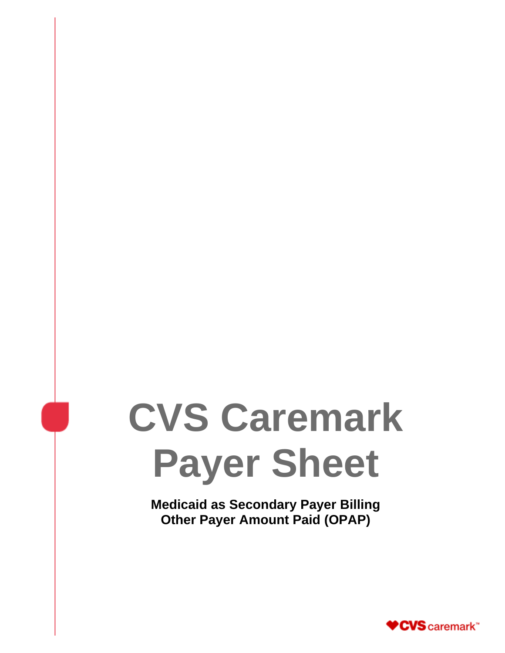# **CVS Caremark Payer Sheet**

**Medicaid as Secondary Payer Billing Other Payer Amount Paid (OPAP)**

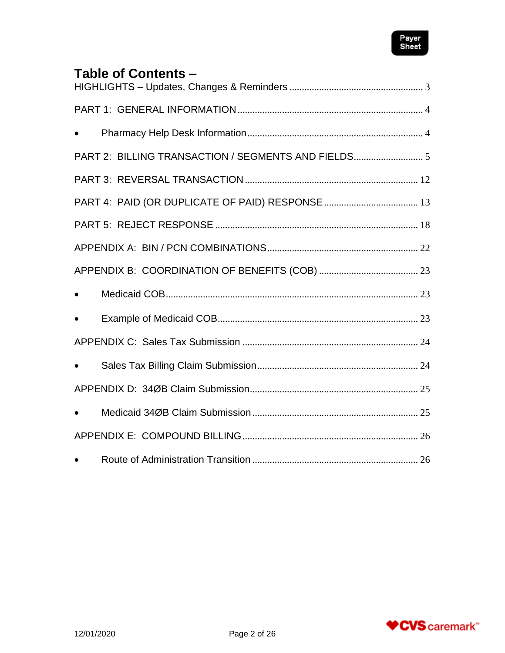

# **Table of Contents –**

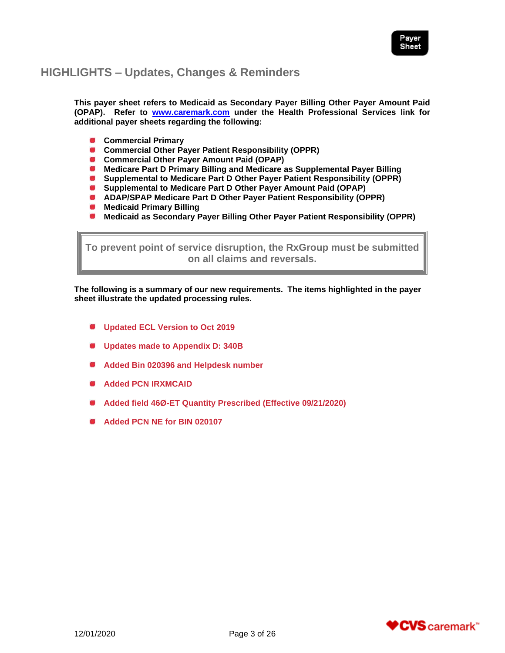

# <span id="page-2-0"></span>**HIGHLIGHTS – Updates, Changes & Reminders**

**This payer sheet refers to Medicaid as Secondary Payer Billing Other Payer Amount Paid (OPAP). Refer to [www.caremark.com](http://www.caremark.com/) under the Health Professional Services link for additional payer sheets regarding the following:**

- **Commercial Primary**
- **Commercial Other Payer Patient Responsibility (OPPR)**
- **Commercial Other Payer Amount Paid (OPAP)**
- **Medicare Part D Primary Billing and Medicare as Supplemental Payer Billing**
- **Supplemental to Medicare Part D Other Payer Patient Responsibility (OPPR)**
- **Supplemental to Medicare Part D Other Payer Amount Paid (OPAP)**
- **ADAP/SPAP Medicare Part D Other Payer Patient Responsibility (OPPR)**
- **Medicaid Primary Billing**
- **Medicaid as Secondary Payer Billing Other Payer Patient Responsibility (OPPR)**

**To prevent point of service disruption, the RxGroup must be submitted on all claims and reversals.**

**The following is a summary of our new requirements. The items highlighted in the payer sheet illustrate the updated processing rules.**

- **Updated ECL Version to Oct 2019**
- **Updates made to Appendix D: 340B**
- **Added Bin 020396 and Helpdesk number**
- **Added PCN IRXMCAID**
- **Added field 46Ø-ET Quantity Prescribed (Effective 09/21/2020)**
- **Added PCN NE for BIN 020107**

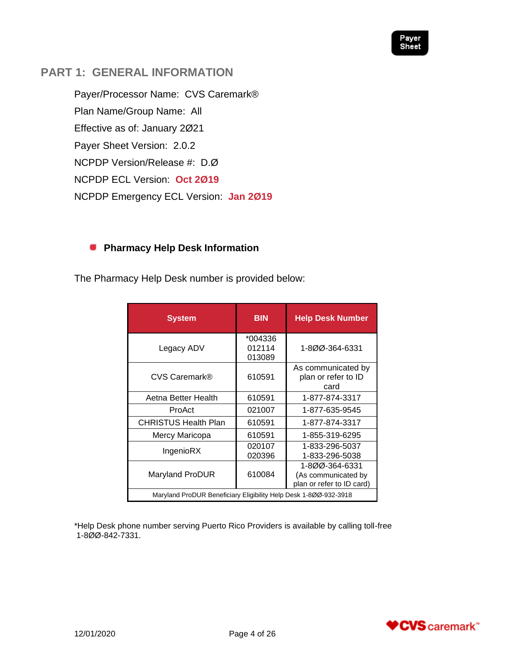

# <span id="page-3-0"></span>**PART 1: GENERAL INFORMATION**

Payer/Processor Name: CVS Caremark® Plan Name/Group Name: All Effective as of: January 2Ø21 Payer Sheet Version: 2.0.2 NCPDP Version/Release #: D.Ø NCPDP ECL Version: **Oct 2Ø19** NCPDP Emergency ECL Version: **Jan 2Ø19**

# <span id="page-3-1"></span>**Pharmacy Help Desk Information**

The Pharmacy Help Desk number is provided below:

| <b>System</b>                                                    | <b>BIN</b>                  | <b>Help Desk Number</b>                                            |
|------------------------------------------------------------------|-----------------------------|--------------------------------------------------------------------|
| Legacy ADV                                                       | *004336<br>012114<br>013089 | 1-800-364-6331                                                     |
| CVS Caremark®                                                    | 610591                      | As communicated by<br>plan or refer to ID<br>card                  |
| Aetna Better Health                                              | 610591                      | 1-877-874-3317                                                     |
| ProAct                                                           | 021007                      | 1-877-635-9545                                                     |
| <b>CHRISTUS Health Plan</b>                                      | 610591                      | 1-877-874-3317                                                     |
| Mercy Maricopa                                                   | 610591                      | 1-855-319-6295                                                     |
| IngenioRX                                                        | 020107<br>020396            | 1-833-296-5037<br>1-833-296-5038                                   |
| Maryland ProDUR                                                  | 610084                      | 1-800-364-6331<br>(As communicated by<br>plan or refer to ID card) |
| Maryland ProDUR Beneficiary Eligibility Help Desk 1-800-932-3918 |                             |                                                                    |

\*Help Desk phone number serving Puerto Rico Providers is available by calling toll-free 1-8ØØ-842-7331.

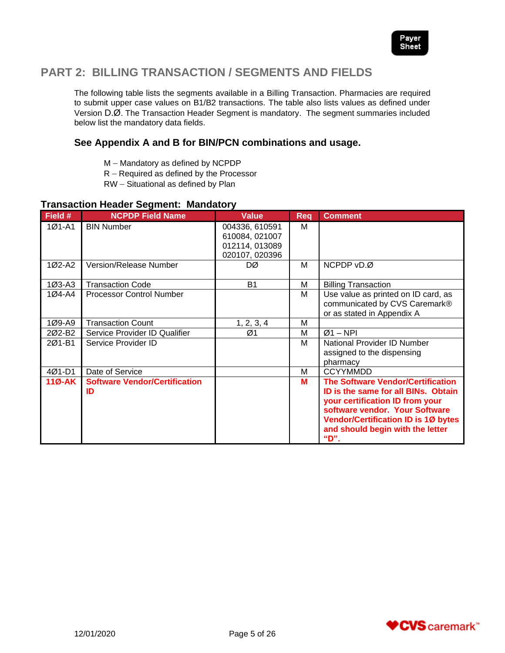

# <span id="page-4-0"></span>**PART 2: BILLING TRANSACTION / SEGMENTS AND FIELDS**

The following table lists the segments available in a Billing Transaction. Pharmacies are required to submit upper case values on B1/B2 transactions. The table also lists values as defined under Version D.Ø. The Transaction Header Segment is mandatory. The segment summaries included below list the mandatory data fields.

## **See Appendix A and B for BIN/PCN combinations and usage.**

- M Mandatory as defined by NCPDP
- R Required as defined by the Processor
- RW Situational as defined by Plan

## **Transaction Header Segment: Mandatory**

| Field #    | <b>NCPDP Field Name</b>                    | Value                                                                | Req | <b>Comment</b>                                                                                                                                                                                                                                 |
|------------|--------------------------------------------|----------------------------------------------------------------------|-----|------------------------------------------------------------------------------------------------------------------------------------------------------------------------------------------------------------------------------------------------|
| $101 - A1$ | <b>BIN Number</b>                          | 004336, 610591<br>610084, 021007<br>012114, 013089<br>020107, 020396 | M   |                                                                                                                                                                                                                                                |
| 1Ø2-A2     | Version/Release Number                     | DØ                                                                   | М   | NCPDP vD.Ø                                                                                                                                                                                                                                     |
| $103 - A3$ | <b>Transaction Code</b>                    | <b>B1</b>                                                            | М   | <b>Billing Transaction</b>                                                                                                                                                                                                                     |
| 1Ø4-A4     | <b>Processor Control Number</b>            |                                                                      | M   | Use value as printed on ID card, as<br>communicated by CVS Caremark®<br>or as stated in Appendix A                                                                                                                                             |
| 1Ø9-A9     | <b>Transaction Count</b>                   | 1, 2, 3, 4                                                           | M   |                                                                                                                                                                                                                                                |
| 202-B2     | Service Provider ID Qualifier              | Ø1                                                                   | M   | $Ø1 - NPI$                                                                                                                                                                                                                                     |
| 201-B1     | Service Provider ID                        |                                                                      | М   | National Provider ID Number<br>assigned to the dispensing<br>pharmacy                                                                                                                                                                          |
| 4Ø1-D1     | Date of Service                            |                                                                      | М   | <b>CCYYMMDD</b>                                                                                                                                                                                                                                |
| $11Ø-AK$   | <b>Software Vendor/Certification</b><br>ID |                                                                      | М   | <b>The Software Vendor/Certification</b><br>ID is the same for all BINs. Obtain<br>your certification ID from your<br>software vendor. Your Software<br><b>Vendor/Certification ID is 10 bytes</b><br>and should begin with the letter<br>"D". |

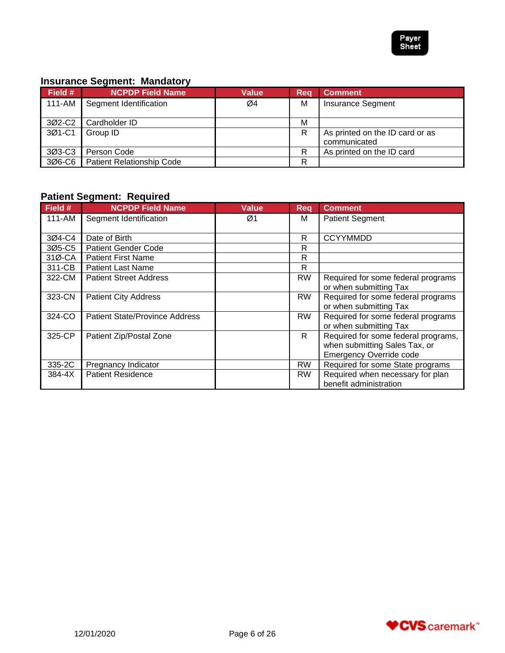

# **Insurance Segment: Mandatory**

| Field # | . .<br><b>NCPDP Field Name</b>   | Value | Req | <b>Comment</b>                                  |
|---------|----------------------------------|-------|-----|-------------------------------------------------|
| 111-AM  | Segment Identification           | Ø4    | м   | <b>Insurance Segment</b>                        |
| 3Ø2-C2  | Cardholder ID                    |       | M   |                                                 |
| 3Ø1-C1  | Group ID                         |       | R   | As printed on the ID card or as<br>communicated |
| 3Ø3-C3  | Person Code                      |       | R   | As printed on the ID card                       |
| 306-C6  | <b>Patient Relationship Code</b> |       | R   |                                                 |

## **Patient Segment: Required**

| Field # | <b>NCPDP Field Name</b>               | <b>Value</b> | <b>Req</b> | <b>Comment</b>                                                                                         |
|---------|---------------------------------------|--------------|------------|--------------------------------------------------------------------------------------------------------|
| 111-AM  | Segment Identification                | Ø1           | м          | <b>Patient Segment</b>                                                                                 |
| 3Ø4-C4  | Date of Birth                         |              | R          | <b>CCYYMMDD</b>                                                                                        |
| 3Ø5-C5  | <b>Patient Gender Code</b>            |              | R          |                                                                                                        |
| 31Ø-CA  | <b>Patient First Name</b>             |              | R          |                                                                                                        |
| 311-CB  | <b>Patient Last Name</b>              |              | R          |                                                                                                        |
| 322-CM  | <b>Patient Street Address</b>         |              | <b>RW</b>  | Required for some federal programs<br>or when submitting Tax                                           |
| 323-CN  | <b>Patient City Address</b>           |              | <b>RW</b>  | Required for some federal programs<br>or when submitting Tax                                           |
| 324-CO  | <b>Patient State/Province Address</b> |              | <b>RW</b>  | Required for some federal programs<br>or when submitting Tax                                           |
| 325-CP  | Patient Zip/Postal Zone               |              | R.         | Required for some federal programs,<br>when submitting Sales Tax, or<br><b>Emergency Override code</b> |
| 335-2C  | Pregnancy Indicator                   |              | <b>RW</b>  | Required for some State programs                                                                       |
| 384-4X  | <b>Patient Residence</b>              |              | <b>RW</b>  | Required when necessary for plan<br>benefit administration                                             |

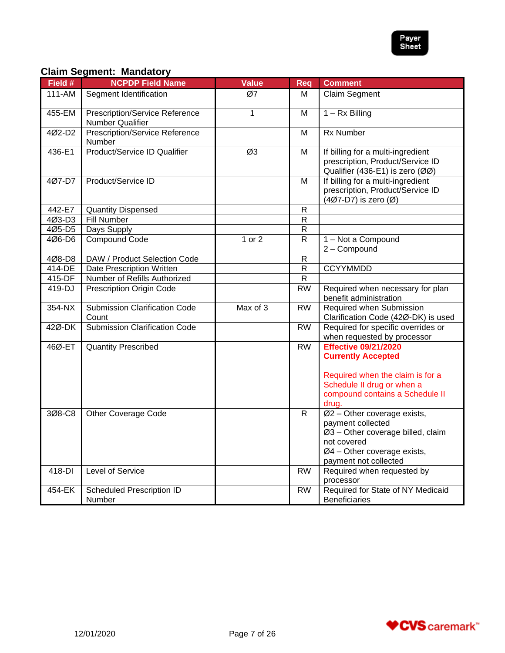

# **Claim Segment: Mandatory**

| Field # | <b>NCPDP Field Name</b>                                   | <b>Value</b> | Req             | <b>Comment</b>                                                                                                                                               |
|---------|-----------------------------------------------------------|--------------|-----------------|--------------------------------------------------------------------------------------------------------------------------------------------------------------|
| 111-AM  | Segment Identification                                    | Ø7           | м               | Claim Segment                                                                                                                                                |
| 455-EM  | <b>Prescription/Service Reference</b><br>Number Qualifier | $\mathbf{1}$ | M               | $1 - Rx$ Billing                                                                                                                                             |
| 4Ø2-D2  | <b>Prescription/Service Reference</b><br><b>Number</b>    |              | M               | <b>Rx Number</b>                                                                                                                                             |
| 436-E1  | Product/Service ID Qualifier                              | Ø3           | M               | If billing for a multi-ingredient<br>prescription, Product/Service ID<br>Qualifier (436-E1) is zero (ØØ)                                                     |
| 407-D7  | Product/Service ID                                        |              | м               | If billing for a multi-ingredient<br>prescription, Product/Service ID<br>(4Ø7-D7) is zero (Ø)                                                                |
| 442-E7  | <b>Quantity Dispensed</b>                                 |              | $\mathsf{R}$    |                                                                                                                                                              |
| 4Ø3-D3  | <b>Fill Number</b>                                        |              | $\mathsf{R}$    |                                                                                                                                                              |
| 4Ø5-D5  | Days Supply                                               |              | $\mathsf{R}$    |                                                                                                                                                              |
| 4Ø6-D6  | <b>Compound Code</b>                                      | 1 or 2       | $\mathsf{R}$    | 1 - Not a Compound                                                                                                                                           |
|         |                                                           |              |                 | 2 - Compound                                                                                                                                                 |
| 4Ø8-D8  | DAW / Product Selection Code                              |              | $\mathsf{R}$    |                                                                                                                                                              |
| 414-DE  | Date Prescription Written                                 |              | ${\sf R}$       | <b>CCYYMMDD</b>                                                                                                                                              |
| 415-DF  | Number of Refills Authorized                              |              | $\mathsf{R}$    |                                                                                                                                                              |
| 419-DJ  | <b>Prescription Origin Code</b>                           |              | <b>RW</b>       | Required when necessary for plan<br>benefit administration                                                                                                   |
| 354-NX  | <b>Submission Clarification Code</b><br>Count             | Max of 3     | $\overline{RW}$ | Required when Submission<br>Clarification Code (42Ø-DK) is used                                                                                              |
| 42Ø-DK  | <b>Submission Clarification Code</b>                      |              | <b>RW</b>       | Required for specific overrides or<br>when requested by processor                                                                                            |
| 46Ø-ET  | <b>Quantity Prescribed</b>                                |              | <b>RW</b>       | <b>Effective 09/21/2020</b><br><b>Currently Accepted</b>                                                                                                     |
|         |                                                           |              |                 | Required when the claim is for a<br>Schedule II drug or when a<br>compound contains a Schedule II<br>drug.                                                   |
| 308-C8  | <b>Other Coverage Code</b>                                |              | R               | Ø2 - Other coverage exists,<br>payment collected<br>Ø3 - Other coverage billed, claim<br>not covered<br>Ø4 - Other coverage exists,<br>payment not collected |
| 418-DI  | <b>Level of Service</b>                                   |              | <b>RW</b>       | Required when requested by<br>processor                                                                                                                      |
| 454-EK  | <b>Scheduled Prescription ID</b><br>Number                |              | <b>RW</b>       | Required for State of NY Medicaid<br><b>Beneficiaries</b>                                                                                                    |

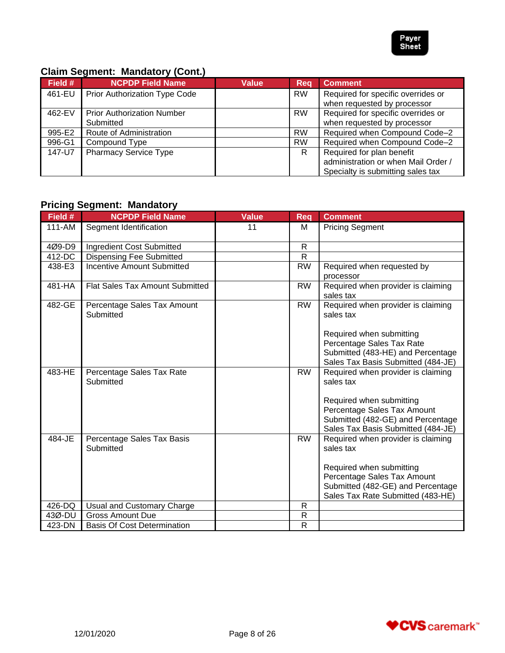

# **Claim Segment: Mandatory (Cont.)**

| Field # | <b>NCPDP Field Name</b>              | Value | <b>Req</b> | <b>Comment</b>                      |
|---------|--------------------------------------|-------|------------|-------------------------------------|
| 461-EU  | <b>Prior Authorization Type Code</b> |       | <b>RW</b>  | Required for specific overrides or  |
|         |                                      |       |            | when requested by processor         |
| 462-EV  | <b>Prior Authorization Number</b>    |       | <b>RW</b>  | Required for specific overrides or  |
|         | Submitted                            |       |            | when requested by processor         |
| 995-E2  | Route of Administration              |       | <b>RW</b>  | Required when Compound Code-2       |
| 996-G1  | Compound Type                        |       | <b>RW</b>  | Required when Compound Code-2       |
| 147-U7  | <b>Pharmacy Service Type</b>         |       | R.         | Required for plan benefit           |
|         |                                      |       |            | administration or when Mail Order / |
|         |                                      |       |            | Specialty is submitting sales tax   |

# **Pricing Segment: Mandatory**

| Field # | <b>NCPDP Field Name</b>                  | <b>Value</b> | Req          | <b>Comment</b>                                                                                                                     |
|---------|------------------------------------------|--------------|--------------|------------------------------------------------------------------------------------------------------------------------------------|
| 111-AM  | Segment Identification                   | 11           | M            | <b>Pricing Segment</b>                                                                                                             |
| 4Ø9-D9  | Ingredient Cost Submitted                |              | R            |                                                                                                                                    |
| 412-DC  | <b>Dispensing Fee Submitted</b>          |              | $\mathsf{R}$ |                                                                                                                                    |
| 438-E3  | <b>Incentive Amount Submitted</b>        |              | <b>RW</b>    | Required when requested by<br>processor                                                                                            |
| 481-HA  | Flat Sales Tax Amount Submitted          |              | <b>RW</b>    | Required when provider is claiming<br>sales tax                                                                                    |
| 482-GE  | Percentage Sales Tax Amount<br>Submitted |              | <b>RW</b>    | Required when provider is claiming<br>sales tax                                                                                    |
|         |                                          |              |              | Required when submitting                                                                                                           |
|         |                                          |              |              | Percentage Sales Tax Rate                                                                                                          |
|         |                                          |              |              | Submitted (483-HE) and Percentage                                                                                                  |
|         |                                          |              |              | Sales Tax Basis Submitted (484-JE)                                                                                                 |
| 483-HE  | Percentage Sales Tax Rate<br>Submitted   |              | <b>RW</b>    | Required when provider is claiming<br>sales tax                                                                                    |
|         |                                          |              |              | Required when submitting<br>Percentage Sales Tax Amount<br>Submitted (482-GE) and Percentage<br>Sales Tax Basis Submitted (484-JE) |
| 484-JE  | Percentage Sales Tax Basis<br>Submitted  |              | <b>RW</b>    | Required when provider is claiming<br>sales tax                                                                                    |
|         |                                          |              |              | Required when submitting                                                                                                           |
|         |                                          |              |              | Percentage Sales Tax Amount                                                                                                        |
|         |                                          |              |              | Submitted (482-GE) and Percentage                                                                                                  |
|         |                                          |              |              | Sales Tax Rate Submitted (483-HE)                                                                                                  |
| 426-DQ  | Usual and Customary Charge               |              | R            |                                                                                                                                    |
| 43Ø-DU  | <b>Gross Amount Due</b>                  |              | R            |                                                                                                                                    |
| 423-DN  | <b>Basis Of Cost Determination</b>       |              | $\mathsf R$  |                                                                                                                                    |

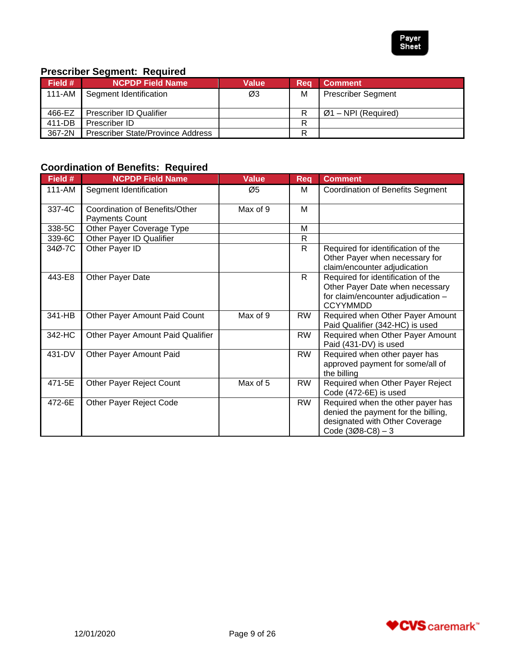

# **Prescriber Segment: Required**

| <b>Field #</b> | <b>NCPDP Field Name</b>                  | <b>Value</b> | Req | <b>Comment</b>            |
|----------------|------------------------------------------|--------------|-----|---------------------------|
|                | 111-AM Segment Identification            | Ø3           | M   | <b>Prescriber Segment</b> |
|                |                                          |              |     |                           |
| 466-EZ         | <b>Prescriber ID Qualifier</b>           |              | R   | $Ø1 - NPI$ (Required)     |
| 411-DB         | Prescriber ID                            |              | R   |                           |
| 367-2N         | <b>Prescriber State/Province Address</b> |              | R   |                           |

# **Coordination of Benefits: Required**

| Field # | <b>NCPDP Field Name</b>                                 | <b>Value</b> | Req          | <b>Comment</b>                                                                                                                    |
|---------|---------------------------------------------------------|--------------|--------------|-----------------------------------------------------------------------------------------------------------------------------------|
| 111-AM  | Segment Identification                                  | Ø5           | м            | Coordination of Benefits Segment                                                                                                  |
| 337-4C  | Coordination of Benefits/Other<br><b>Payments Count</b> | Max of 9     | м            |                                                                                                                                   |
| 338-5C  | Other Payer Coverage Type                               |              | M            |                                                                                                                                   |
| 339-6C  | Other Payer ID Qualifier                                |              | $\mathsf{R}$ |                                                                                                                                   |
| 34Ø-7C  | Other Payer ID                                          |              | R            | Required for identification of the<br>Other Payer when necessary for<br>claim/encounter adjudication                              |
| 443-E8  | Other Payer Date                                        |              | R.           | Required for identification of the<br>Other Payer Date when necessary<br>for claim/encounter adjudication -<br><b>CCYYMMDD</b>    |
| 341-HB  | Other Payer Amount Paid Count                           | Max of 9     | <b>RW</b>    | Required when Other Payer Amount<br>Paid Qualifier (342-HC) is used                                                               |
| 342-HC  | Other Payer Amount Paid Qualifier                       |              | <b>RW</b>    | Required when Other Payer Amount<br>Paid (431-DV) is used                                                                         |
| 431-DV  | Other Payer Amount Paid                                 |              | <b>RW</b>    | Required when other payer has<br>approved payment for some/all of<br>the billing                                                  |
| 471-5E  | Other Payer Reject Count                                | Max of 5     | <b>RW</b>    | Required when Other Payer Reject<br>Code (472-6E) is used                                                                         |
| 472-6E  | Other Payer Reject Code                                 |              | <b>RW</b>    | Required when the other payer has<br>denied the payment for the billing,<br>designated with Other Coverage<br>Code $(308-C8) - 3$ |

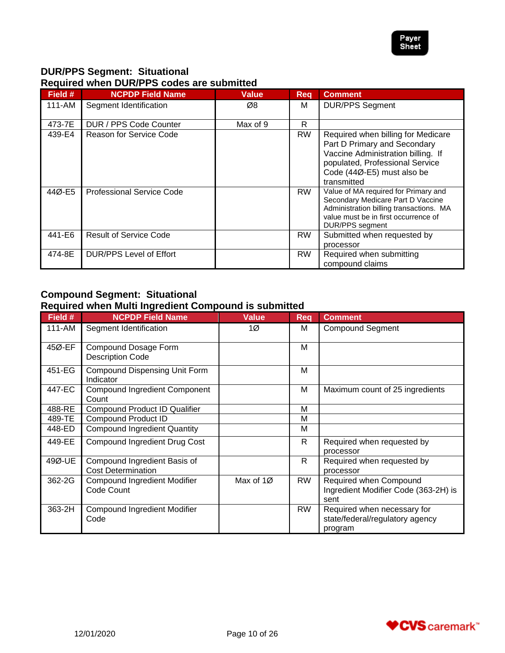

# **DUR/PPS Segment: Situational Required when DUR/PPS codes are submitted**

| Field # | <b>NCPDP Field Name</b>          | Value    | Rea       | <b>Comment</b>                                                                                                                                                                           |
|---------|----------------------------------|----------|-----------|------------------------------------------------------------------------------------------------------------------------------------------------------------------------------------------|
| 111-AM  | Segment Identification           | Ø8       | м         | <b>DUR/PPS Segment</b>                                                                                                                                                                   |
| 473-7E  | DUR / PPS Code Counter           | Max of 9 | R         |                                                                                                                                                                                          |
| 439-E4  | Reason for Service Code          |          | <b>RW</b> | Required when billing for Medicare<br>Part D Primary and Secondary<br>Vaccine Administration billing. If<br>populated, Professional Service<br>Code (44Ø-E5) must also be<br>transmitted |
| 44Ø-E5  | <b>Professional Service Code</b> |          | <b>RW</b> | Value of MA required for Primary and<br>Secondary Medicare Part D Vaccine<br>Administration billing transactions. MA<br>value must be in first occurrence of<br><b>DUR/PPS</b> segment   |
| 441-E6  | <b>Result of Service Code</b>    |          | <b>RW</b> | Submitted when requested by<br>processor                                                                                                                                                 |
| 474-8E  | <b>DUR/PPS Level of Effort</b>   |          | <b>RW</b> | Required when submitting<br>compound claims                                                                                                                                              |

## **Compound Segment: Situational Required when Multi Ingredient Compound is submitted**

| Field # | <b>NCPDP Field Name</b>                                   | <b>Value</b> | <b>Req</b>   | <b>Comment</b>                                                            |
|---------|-----------------------------------------------------------|--------------|--------------|---------------------------------------------------------------------------|
| 111-AM  | Segment Identification                                    | 1Ø           | м            | <b>Compound Segment</b>                                                   |
| 45Ø-EF  | Compound Dosage Form<br><b>Description Code</b>           |              | М            |                                                                           |
| 451-EG  | <b>Compound Dispensing Unit Form</b><br>Indicator         |              | М            |                                                                           |
| 447-EC  | <b>Compound Ingredient Component</b><br>Count             |              | M            | Maximum count of 25 ingredients                                           |
| 488-RE  | <b>Compound Product ID Qualifier</b>                      |              | М            |                                                                           |
| 489-TE  | <b>Compound Product ID</b>                                |              | M            |                                                                           |
| 448-ED  | <b>Compound Ingredient Quantity</b>                       |              | M            |                                                                           |
| 449-EE  | <b>Compound Ingredient Drug Cost</b>                      |              | $\mathsf{R}$ | Required when requested by<br>processor                                   |
| 49Ø-UE  | Compound Ingredient Basis of<br><b>Cost Determination</b> |              | R.           | Required when requested by<br>processor                                   |
| 362-2G  | <b>Compound Ingredient Modifier</b><br>Code Count         | Max of 1Ø    | <b>RW</b>    | Required when Compound<br>Ingredient Modifier Code (363-2H) is<br>sent    |
| 363-2H  | <b>Compound Ingredient Modifier</b><br>Code               |              | <b>RW</b>    | Required when necessary for<br>state/federal/regulatory agency<br>program |

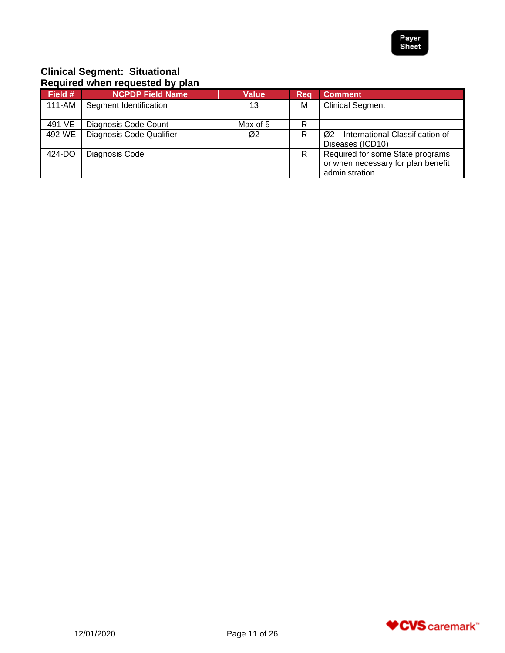

# **Clinical Segment: Situational Required when requested by plan**

| Field # | <b>NCPDP Field Name</b>  | <b>Value</b> | Reg | <b>Comment</b>                                                                           |
|---------|--------------------------|--------------|-----|------------------------------------------------------------------------------------------|
| 111-AM  | Segment Identification   | 13           | M   | <b>Clinical Segment</b>                                                                  |
| 491-VE  | Diagnosis Code Count     | Max of 5     | R   |                                                                                          |
| 492-WE  | Diagnosis Code Qualifier | Ø2           | R   | $Ø2$ – International Classification of<br>Diseases (ICD10)                               |
| 424-DO  | Diagnosis Code           |              | R   | Required for some State programs<br>or when necessary for plan benefit<br>administration |

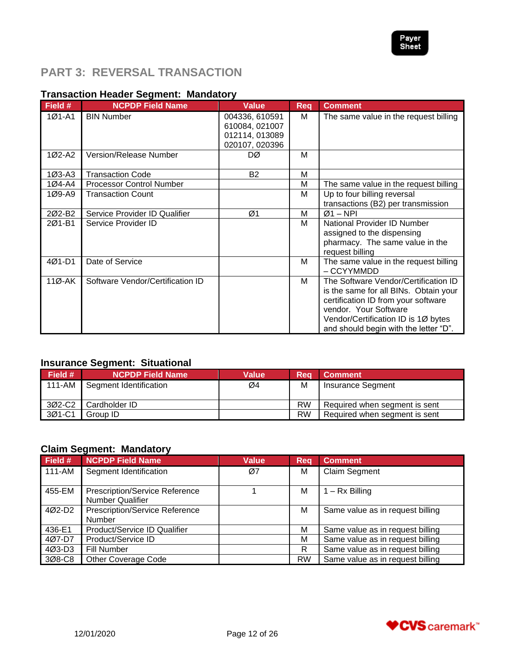

# <span id="page-11-0"></span>**PART 3: REVERSAL TRANSACTION**

## **Transaction Header Segment: Mandatory**

| Field #    | <b>NCPDP Field Name</b>          | <b>Value</b>                                                         | <b>Req</b> | <b>Comment</b>                                                                                                                                                                                                                |
|------------|----------------------------------|----------------------------------------------------------------------|------------|-------------------------------------------------------------------------------------------------------------------------------------------------------------------------------------------------------------------------------|
| 1Ø1-A1     | <b>BIN Number</b>                | 004336, 610591<br>610084, 021007<br>012114, 013089<br>020107, 020396 | м          | The same value in the request billing                                                                                                                                                                                         |
| 1Ø2-A2     | Version/Release Number           | DØ                                                                   | M          |                                                                                                                                                                                                                               |
| $103 - A3$ | <b>Transaction Code</b>          | <b>B2</b>                                                            | M          |                                                                                                                                                                                                                               |
| 1Ø4-A4     | <b>Processor Control Number</b>  |                                                                      | M          | The same value in the request billing                                                                                                                                                                                         |
| 1Ø9-A9     | <b>Transaction Count</b>         |                                                                      | M          | Up to four billing reversal<br>transactions (B2) per transmission                                                                                                                                                             |
| 2Ø2-B2     | Service Provider ID Qualifier    | Ø1                                                                   | м          | $Ø1 - NPI$                                                                                                                                                                                                                    |
| 2Ø1-B1     | Service Provider ID              |                                                                      | м          | National Provider ID Number<br>assigned to the dispensing<br>pharmacy. The same value in the<br>request billing                                                                                                               |
| $401 - D1$ | Date of Service                  |                                                                      | м          | The same value in the request billing<br>– CCYYMMDD                                                                                                                                                                           |
| 11Ø-AK     | Software Vendor/Certification ID |                                                                      | м          | The Software Vendor/Certification ID<br>is the same for all BINs. Obtain your<br>certification ID from your software<br>vendor. Your Software<br>Vendor/Certification ID is 1Ø bytes<br>and should begin with the letter "D". |

## **Insurance Segment: Situational**

| Field # | ຼ<br><b>NCPDP Field Name</b> | Value | Rea       | <b>Comment</b>                |
|---------|------------------------------|-------|-----------|-------------------------------|
| 111-AM  | Segment Identification       | Ø4    | M         | Insurance Segment             |
| 3Ø2-C2  | Cardholder ID                |       | <b>RW</b> | Required when segment is sent |
| 3Ø1-C1  | Group ID                     |       | <b>RW</b> | Required when segment is sent |

## **Claim Segment: Mandatory**

| Field # | <b>NCPDP Field Name</b>               | <b>Value</b> | Rea       | <b>Comment</b>                   |
|---------|---------------------------------------|--------------|-----------|----------------------------------|
| 111-AM  | Segment Identification                | Ø7           | M         | <b>Claim Segment</b>             |
|         |                                       |              |           |                                  |
| 455-EM  | <b>Prescription/Service Reference</b> |              | M         | $1 - Rx$ Billing                 |
|         | <b>Number Qualifier</b>               |              |           |                                  |
| 4Ø2-D2  | <b>Prescription/Service Reference</b> |              | M         | Same value as in request billing |
|         | <b>Number</b>                         |              |           |                                  |
| 436-E1  | Product/Service ID Qualifier          |              | M         | Same value as in request billing |
| 4Ø7-D7  | Product/Service ID                    |              | м         | Same value as in request billing |
| 4Ø3-D3  | Fill Number                           |              | R         | Same value as in request billing |
| 3Ø8-C8  | <b>Other Coverage Code</b>            |              | <b>RW</b> | Same value as in request billing |

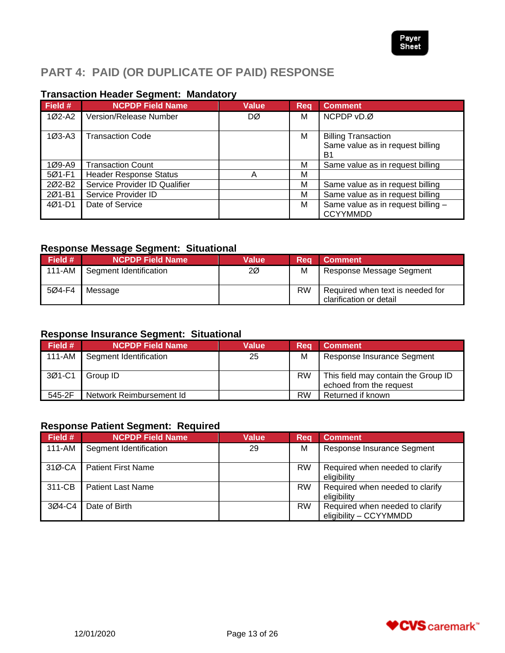

# <span id="page-12-0"></span>**PART 4: PAID (OR DUPLICATE OF PAID) RESPONSE**

# **Transaction Header Segment: Mandatory**

| Field $#$ | <b>NCPDP Field Name</b>       | <b>Value</b> | Rea | <b>Comment</b>                                                 |
|-----------|-------------------------------|--------------|-----|----------------------------------------------------------------|
| 1Ø2-A2    | Version/Release Number        | DØ           | M   | NCPDP vD.Ø                                                     |
| $1Ø3-A3$  | <b>Transaction Code</b>       |              | M   | <b>Billing Transaction</b><br>Same value as in request billing |
|           |                               |              |     | B1                                                             |
| 1Ø9-A9    | <b>Transaction Count</b>      |              | М   | Same value as in request billing                               |
| 5Ø1-F1    | <b>Header Response Status</b> | А            | М   |                                                                |
| 202-B2    | Service Provider ID Qualifier |              | M   | Same value as in request billing                               |
| 2Ø1-B1    | Service Provider ID           |              | M   | Same value as in request billing                               |
| 4Ø1-D1    | Date of Service               |              | M   | Same value as in request billing -<br><b>CCYYMMDD</b>          |

# **Response Message Segment: Situational**

| Field # | <b>NCPDP Field Name</b> | Value | Rea       | <b>Comment</b>                                              |
|---------|-------------------------|-------|-----------|-------------------------------------------------------------|
| 111-AM  | Segment Identification  | 2Ø    | M         | Response Message Segment                                    |
| 5Ø4-F4  | Message                 |       | <b>RW</b> | Required when text is needed for<br>clarification or detail |

# **Response Insurance Segment: Situational**

| Field # | <b>NCPDP Field Name</b>  | <b>Value</b> | Rea       | Comment                                                        |
|---------|--------------------------|--------------|-----------|----------------------------------------------------------------|
| 111-AM  | Segment Identification   | 25           | M         | Response Insurance Segment                                     |
| 3Ø1-C1  | Group ID                 |              | <b>RW</b> | This field may contain the Group ID<br>echoed from the request |
| 545-2F  | Network Reimbursement Id |              | <b>RW</b> | Returned if known                                              |

# **Response Patient Segment: Required**

| Field # | <b>NCPDP Field Name</b>   | <b>Value</b> | Reg       | <b>Comment</b>                                            |
|---------|---------------------------|--------------|-----------|-----------------------------------------------------------|
| 111-AM  | Segment Identification    | 29           | M         | Response Insurance Segment                                |
| 31Ø-CA  | <b>Patient First Name</b> |              | <b>RW</b> | Required when needed to clarify<br>eligibility            |
| 311-CB  | <b>Patient Last Name</b>  |              | <b>RW</b> | Required when needed to clarify<br>eligibility            |
| 3Ø4-C4  | Date of Birth             |              | <b>RW</b> | Required when needed to clarify<br>eligibility - CCYYMMDD |

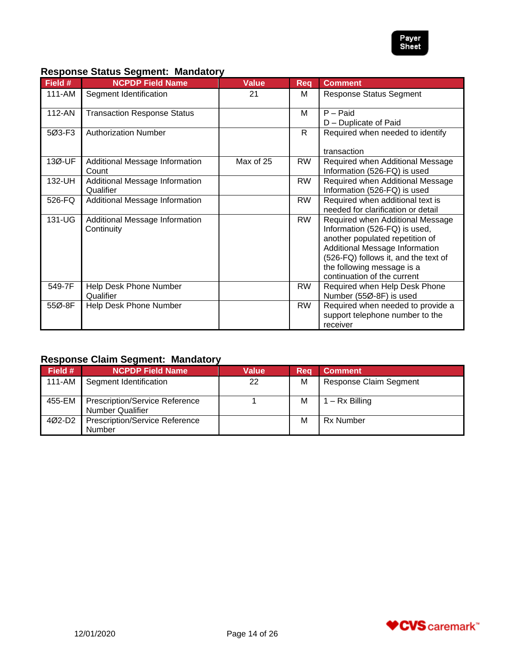

## **Response Status Segment: Mandatory**

| Field # | <b>NCPDP Field Name</b>                      | <b>Value</b> | <b>Req</b> | <b>Comment</b>                                                                                                                                                                                                                              |
|---------|----------------------------------------------|--------------|------------|---------------------------------------------------------------------------------------------------------------------------------------------------------------------------------------------------------------------------------------------|
| 111-AM  | Segment Identification                       | 21           | м          | <b>Response Status Segment</b>                                                                                                                                                                                                              |
| 112-AN  | <b>Transaction Response Status</b>           |              | M          | $P -$ Paid<br>D - Duplicate of Paid                                                                                                                                                                                                         |
| 5Ø3-F3  | <b>Authorization Number</b>                  |              | R          | Required when needed to identify<br>transaction                                                                                                                                                                                             |
| 13Ø-UF  | Additional Message Information<br>Count      | Max of 25    | <b>RW</b>  | Required when Additional Message<br>Information (526-FQ) is used                                                                                                                                                                            |
| 132-UH  | Additional Message Information<br>Qualifier  |              | <b>RW</b>  | Required when Additional Message<br>Information (526-FQ) is used                                                                                                                                                                            |
| 526-FQ  | Additional Message Information               |              | <b>RW</b>  | Required when additional text is<br>needed for clarification or detail                                                                                                                                                                      |
| 131-UG  | Additional Message Information<br>Continuity |              | <b>RW</b>  | Required when Additional Message<br>Information (526-FQ) is used,<br>another populated repetition of<br>Additional Message Information<br>(526-FQ) follows it, and the text of<br>the following message is a<br>continuation of the current |
| 549-7F  | Help Desk Phone Number<br>Qualifier          |              | RW         | Required when Help Desk Phone<br>Number (55Ø-8F) is used                                                                                                                                                                                    |
| 55Ø-8F  | Help Desk Phone Number                       |              | <b>RW</b>  | Required when needed to provide a<br>support telephone number to the<br>receiver                                                                                                                                                            |

# **Response Claim Segment: Mandatory**

| Field # | NCPDP Field Name                                                 | Value | Rea | <b>Comment</b>                |
|---------|------------------------------------------------------------------|-------|-----|-------------------------------|
| 111-AM  | Segment Identification                                           | 22    | M   | <b>Response Claim Segment</b> |
| 455-EM  | <b>Prescription/Service Reference</b><br><b>Number Qualifier</b> |       | M   | $1 - Rx$ Billing              |
| 4Ø2-D2  | <b>Prescription/Service Reference</b><br>Number                  |       | M   | <b>Rx Number</b>              |

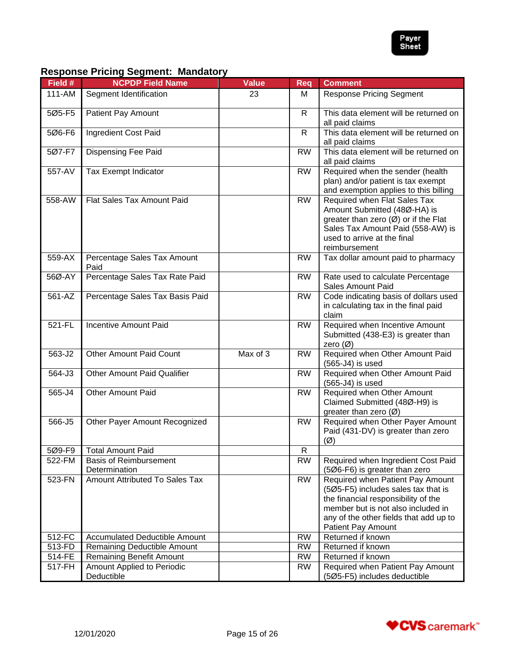

# **Response Pricing Segment: Mandatory**

| Field # | <b>NCPDP Field Name</b>                        | <b>Value</b> | Req          | <b>Comment</b>                                                                                                                                                                                                              |
|---------|------------------------------------------------|--------------|--------------|-----------------------------------------------------------------------------------------------------------------------------------------------------------------------------------------------------------------------------|
| 111-AM  | Segment Identification                         | 23           | м            | <b>Response Pricing Segment</b>                                                                                                                                                                                             |
| 5Ø5-F5  | <b>Patient Pay Amount</b>                      |              | $\mathsf{R}$ | This data element will be returned on<br>all paid claims                                                                                                                                                                    |
| 5Ø6-F6  | Ingredient Cost Paid                           |              | $\mathsf{R}$ | This data element will be returned on<br>all paid claims                                                                                                                                                                    |
| 5Ø7-F7  | <b>Dispensing Fee Paid</b>                     |              | <b>RW</b>    | This data element will be returned on<br>all paid claims                                                                                                                                                                    |
| 557-AV  | Tax Exempt Indicator                           |              | <b>RW</b>    | Required when the sender (health<br>plan) and/or patient is tax exempt<br>and exemption applies to this billing                                                                                                             |
| 558-AW  | Flat Sales Tax Amount Paid                     |              | <b>RW</b>    | Required when Flat Sales Tax<br>Amount Submitted (48Ø-HA) is<br>greater than zero (Ø) or if the Flat<br>Sales Tax Amount Paid (558-AW) is<br>used to arrive at the final<br>reimbursement                                   |
| 559-AX  | Percentage Sales Tax Amount<br>Paid            |              | <b>RW</b>    | Tax dollar amount paid to pharmacy                                                                                                                                                                                          |
| 56Ø-AY  | Percentage Sales Tax Rate Paid                 |              | <b>RW</b>    | Rate used to calculate Percentage<br>Sales Amount Paid                                                                                                                                                                      |
| 561-AZ  | Percentage Sales Tax Basis Paid                |              | <b>RW</b>    | Code indicating basis of dollars used<br>in calculating tax in the final paid<br>claim                                                                                                                                      |
| 521-FL  | <b>Incentive Amount Paid</b>                   |              | <b>RW</b>    | Required when Incentive Amount<br>Submitted (438-E3) is greater than<br>zero $(\emptyset)$                                                                                                                                  |
| 563-J2  | <b>Other Amount Paid Count</b>                 | Max of 3     | <b>RW</b>    | Required when Other Amount Paid<br>(565-J4) is used                                                                                                                                                                         |
| 564-J3  | <b>Other Amount Paid Qualifier</b>             |              | <b>RW</b>    | Required when Other Amount Paid<br>(565-J4) is used                                                                                                                                                                         |
| 565-J4  | Other Amount Paid                              |              | <b>RW</b>    | Required when Other Amount<br>Claimed Submitted (48Ø-H9) is<br>greater than zero $(\varnothing)$                                                                                                                            |
| 566-J5  | Other Payer Amount Recognized                  |              | <b>RW</b>    | Required when Other Payer Amount<br>Paid (431-DV) is greater than zero<br>$(\emptyset)$                                                                                                                                     |
| 5Ø9-F9  | <b>Total Amount Paid</b>                       |              | R            |                                                                                                                                                                                                                             |
| 522-FM  | <b>Basis of Reimbursement</b><br>Determination |              | <b>RW</b>    | Required when Ingredient Cost Paid<br>(506-F6) is greater than zero                                                                                                                                                         |
| 523-FN  | Amount Attributed To Sales Tax                 |              | <b>RW</b>    | Required when Patient Pay Amount<br>(5Ø5-F5) includes sales tax that is<br>the financial responsibility of the<br>member but is not also included in<br>any of the other fields that add up to<br><b>Patient Pay Amount</b> |
| 512-FC  | <b>Accumulated Deductible Amount</b>           |              | <b>RW</b>    | Returned if known                                                                                                                                                                                                           |
| 513-FD  | Remaining Deductible Amount                    |              | <b>RW</b>    | Returned if known                                                                                                                                                                                                           |
| 514-FE  | <b>Remaining Benefit Amount</b>                |              | <b>RW</b>    | Returned if known                                                                                                                                                                                                           |
| 517-FH  | Amount Applied to Periodic<br>Deductible       |              | <b>RW</b>    | Required when Patient Pay Amount<br>(5Ø5-F5) includes deductible                                                                                                                                                            |

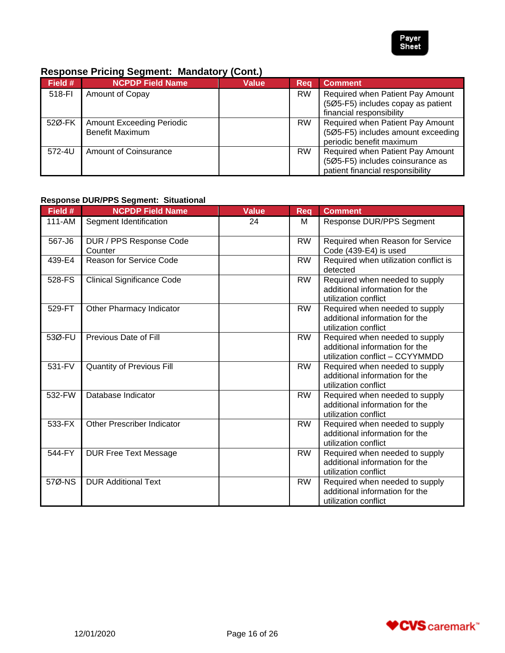

# **Response Pricing Segment: Mandatory (Cont.)**

| Field # | <b>NCPDP Field Name</b>                                    | <b>Value</b> | Rea       | <b>Comment</b>                                                                                           |
|---------|------------------------------------------------------------|--------------|-----------|----------------------------------------------------------------------------------------------------------|
| 518-FI  | Amount of Copay                                            |              | <b>RW</b> | Required when Patient Pay Amount<br>(5Ø5-F5) includes copay as patient<br>financial responsibility       |
| 52Ø-FK  | <b>Amount Exceeding Periodic</b><br><b>Benefit Maximum</b> |              | <b>RW</b> | Required when Patient Pay Amount<br>(5Ø5-F5) includes amount exceeding<br>periodic benefit maximum       |
| 572-4U  | Amount of Coinsurance                                      |              | <b>RW</b> | Required when Patient Pay Amount<br>(5Ø5-F5) includes coinsurance as<br>patient financial responsibility |

## **Response DUR/PPS Segment: Situational**

| Field # | <b>NCPDP Field Name</b>            | <b>Value</b> | <b>Req</b> | <b>Comment</b>                                                                                      |
|---------|------------------------------------|--------------|------------|-----------------------------------------------------------------------------------------------------|
| 111-AM  | Segment Identification             | 24           | M          | Response DUR/PPS Segment                                                                            |
| 567-J6  | DUR / PPS Response Code<br>Counter |              | <b>RW</b>  | Required when Reason for Service<br>Code (439-E4) is used                                           |
| 439-E4  | <b>Reason for Service Code</b>     |              | <b>RW</b>  | Required when utilization conflict is<br>detected                                                   |
| 528-FS  | <b>Clinical Significance Code</b>  |              | <b>RW</b>  | Required when needed to supply<br>additional information for the<br>utilization conflict            |
| 529-FT  | Other Pharmacy Indicator           |              | <b>RW</b>  | Required when needed to supply<br>additional information for the<br>utilization conflict            |
| 53Ø-FU  | Previous Date of Fill              |              | <b>RW</b>  | Required when needed to supply<br>additional information for the<br>utilization conflict - CCYYMMDD |
| 531-FV  | <b>Quantity of Previous Fill</b>   |              | <b>RW</b>  | Required when needed to supply<br>additional information for the<br>utilization conflict            |
| 532-FW  | Database Indicator                 |              | <b>RW</b>  | Required when needed to supply<br>additional information for the<br>utilization conflict            |
| 533-FX  | <b>Other Prescriber Indicator</b>  |              | RW         | Required when needed to supply<br>additional information for the<br>utilization conflict            |
| 544-FY  | <b>DUR Free Text Message</b>       |              | <b>RW</b>  | Required when needed to supply<br>additional information for the<br>utilization conflict            |
| 57Ø-NS  | <b>DUR Additional Text</b>         |              | <b>RW</b>  | Required when needed to supply<br>additional information for the<br>utilization conflict            |

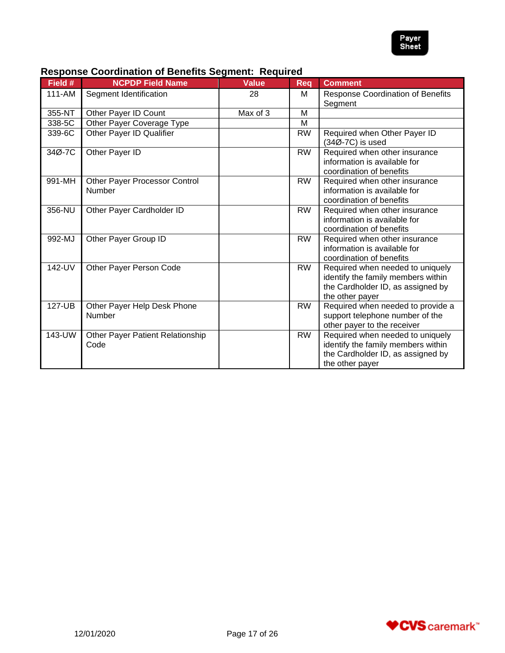

| Field #    | <b>NCPDP Field Name</b>                  | <b>Value</b> | <b>Req</b> | <b>Comment</b>                                                                                                                 |
|------------|------------------------------------------|--------------|------------|--------------------------------------------------------------------------------------------------------------------------------|
| $111 - AM$ | Segment Identification                   | 28           | м          | <b>Response Coordination of Benefits</b><br>Segment                                                                            |
| 355-NT     | Other Payer ID Count                     | Max of 3     | M          |                                                                                                                                |
| 338-5C     | Other Payer Coverage Type                |              | M          |                                                                                                                                |
| 339-6C     | Other Payer ID Qualifier                 |              | RW         | Required when Other Payer ID<br>(34Ø-7C) is used                                                                               |
| 34Ø-7C     | Other Payer ID                           |              | <b>RW</b>  | Required when other insurance<br>information is available for<br>coordination of benefits                                      |
| 991-MH     | Other Payer Processor Control<br>Number  |              | <b>RW</b>  | Required when other insurance<br>information is available for<br>coordination of benefits                                      |
| 356-NU     | Other Payer Cardholder ID                |              | <b>RW</b>  | Required when other insurance<br>information is available for<br>coordination of benefits                                      |
| 992-MJ     | Other Payer Group ID                     |              | <b>RW</b>  | Required when other insurance<br>information is available for<br>coordination of benefits                                      |
| 142-UV     | Other Payer Person Code                  |              | <b>RW</b>  | Required when needed to uniquely<br>identify the family members within<br>the Cardholder ID, as assigned by<br>the other payer |
| 127-UB     | Other Payer Help Desk Phone<br>Number    |              | <b>RW</b>  | Required when needed to provide a<br>support telephone number of the<br>other payer to the receiver                            |
| 143-UW     | Other Payer Patient Relationship<br>Code |              | <b>RW</b>  | Required when needed to uniquely<br>identify the family members within<br>the Cardholder ID, as assigned by<br>the other payer |

# **Response Coordination of Benefits Segment: Required**

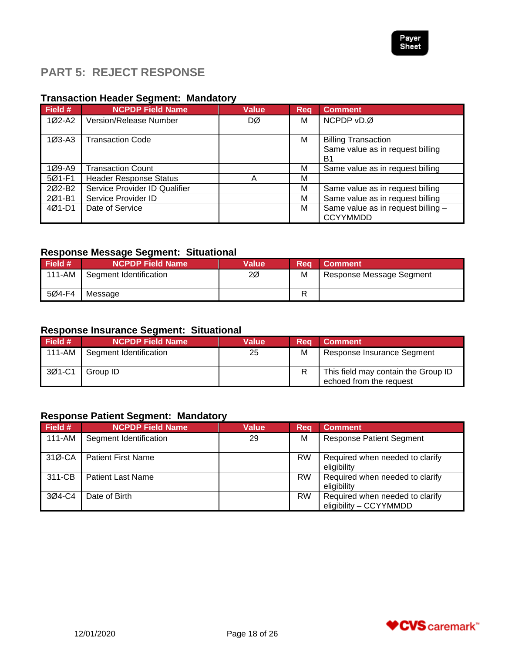

# <span id="page-17-0"></span>**PART 5: REJECT RESPONSE**

# **Transaction Header Segment: Mandatory**

| Field #            | <b>NCPDP Field Name</b>       | <b>Value</b> | <b>Req</b> | <b>Comment</b>                                                                   |
|--------------------|-------------------------------|--------------|------------|----------------------------------------------------------------------------------|
| 1Ø2-A2             | Version/Release Number        | DØ           | М          | NCPDP vD.Ø                                                                       |
| 1Ø3-A3             | <b>Transaction Code</b>       |              | м          | <b>Billing Transaction</b><br>Same value as in request billing<br>B <sub>1</sub> |
| 1Ø9-A9             | <b>Transaction Count</b>      |              | M          | Same value as in request billing                                                 |
| 5Ø1-F1             | <b>Header Response Status</b> | А            | М          |                                                                                  |
| 202-B <sub>2</sub> | Service Provider ID Qualifier |              | M          | Same value as in request billing                                                 |
| 2Ø1-B1             | Service Provider ID           |              | М          | Same value as in request billing                                                 |
| 4Ø1-D1             | Date of Service               |              | М          | Same value as in request billing -<br><b>CCYYMMDD</b>                            |

# **Response Message Segment: Situational**

| Field # | <b>NCPDP Field Name</b> | <b>Value</b> | Rea | <b>■ Comment</b>         |
|---------|-------------------------|--------------|-----|--------------------------|
| 111-AM  | Segment Identification  | 2Ø           | M   | Response Message Segment |
| 5Ø4-F4  | Message                 |              |     |                          |

## **Response Insurance Segment: Situational**

| <b>Field #</b> | <b>NCPDP Field Name</b> | Value | Rea | <b>Comment</b>                                                 |
|----------------|-------------------------|-------|-----|----------------------------------------------------------------|
| 111-AM         | Segment Identification  | 25    | M   | Response Insurance Segment                                     |
| 3Ø1-C1         | Group ID                |       | R   | This field may contain the Group ID<br>echoed from the request |

# **Response Patient Segment: Mandatory**

| Field # | <b>NCPDP Field Name</b>   | <b>Value</b> | Req       | <b>Comment</b>                                            |
|---------|---------------------------|--------------|-----------|-----------------------------------------------------------|
| 111-AM  | Segment Identification    | 29           | M         | <b>Response Patient Segment</b>                           |
| 31Ø-CA  | <b>Patient First Name</b> |              | <b>RW</b> | Required when needed to clarify<br>eligibility            |
| 311-CB  | <b>Patient Last Name</b>  |              | <b>RW</b> | Required when needed to clarify<br>eligibility            |
| 3Ø4-C4  | Date of Birth             |              | <b>RW</b> | Required when needed to clarify<br>eligibility - CCYYMMDD |

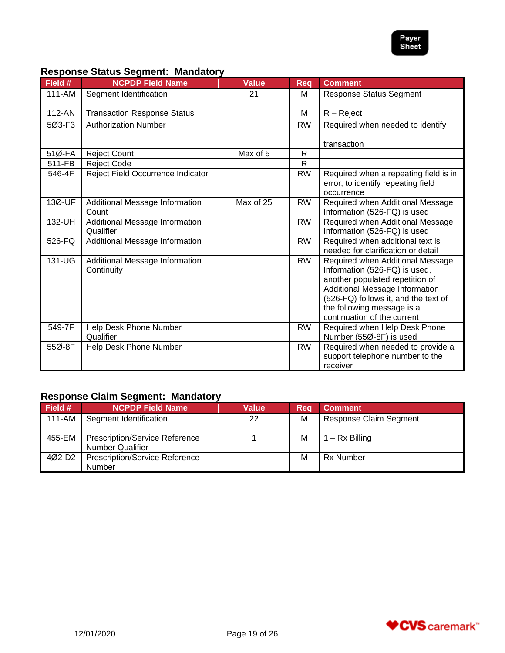

## **Response Status Segment: Mandatory**

| Field # | <b>NCPDP Field Name</b>                      | <b>Value</b> | <b>Req</b> | <b>Comment</b>                                                                                                                                                                                                                              |
|---------|----------------------------------------------|--------------|------------|---------------------------------------------------------------------------------------------------------------------------------------------------------------------------------------------------------------------------------------------|
| 111-AM  | Segment Identification                       | 21           | м          | <b>Response Status Segment</b>                                                                                                                                                                                                              |
| 112-AN  | <b>Transaction Response Status</b>           |              | м          | $R - Reject$                                                                                                                                                                                                                                |
| 5Ø3-F3  | <b>Authorization Number</b>                  |              | <b>RW</b>  | Required when needed to identify                                                                                                                                                                                                            |
|         |                                              |              |            | transaction                                                                                                                                                                                                                                 |
| 51Ø-FA  | <b>Reject Count</b>                          | Max of 5     | R          |                                                                                                                                                                                                                                             |
| 511-FB  | <b>Reject Code</b>                           |              | R          |                                                                                                                                                                                                                                             |
| 546-4F  | Reject Field Occurrence Indicator            |              | <b>RW</b>  | Required when a repeating field is in<br>error, to identify repeating field<br>occurrence                                                                                                                                                   |
| 13Ø-UF  | Additional Message Information<br>Count      | Max of 25    | <b>RW</b>  | Required when Additional Message<br>Information (526-FQ) is used                                                                                                                                                                            |
| 132-UH  | Additional Message Information<br>Qualifier  |              | <b>RW</b>  | Required when Additional Message<br>Information (526-FQ) is used                                                                                                                                                                            |
| 526-FQ  | Additional Message Information               |              | <b>RW</b>  | Required when additional text is<br>needed for clarification or detail                                                                                                                                                                      |
| 131-UG  | Additional Message Information<br>Continuity |              | <b>RW</b>  | Required when Additional Message<br>Information (526-FQ) is used,<br>another populated repetition of<br>Additional Message Information<br>(526-FQ) follows it, and the text of<br>the following message is a<br>continuation of the current |
| 549-7F  | Help Desk Phone Number<br>Qualifier          |              | <b>RW</b>  | Required when Help Desk Phone<br>Number (55Ø-8F) is used                                                                                                                                                                                    |
| 55Ø-8F  | Help Desk Phone Number                       |              | <b>RW</b>  | Required when needed to provide a<br>support telephone number to the<br>receiver                                                                                                                                                            |

# **Response Claim Segment: Mandatory**

| Field # | <b>NCPDP Field Name</b>                                          | Value | 'Rea | <b>Comment</b>                |
|---------|------------------------------------------------------------------|-------|------|-------------------------------|
| 111-AM  | Segment Identification                                           | 22    | M    | <b>Response Claim Segment</b> |
| 455-EM  | <b>Prescription/Service Reference</b><br><b>Number Qualifier</b> |       | M    | – Rx Billing                  |
| 4Ø2-D2  | <b>Prescription/Service Reference</b><br>Number                  |       | м    | <b>Rx Number</b>              |

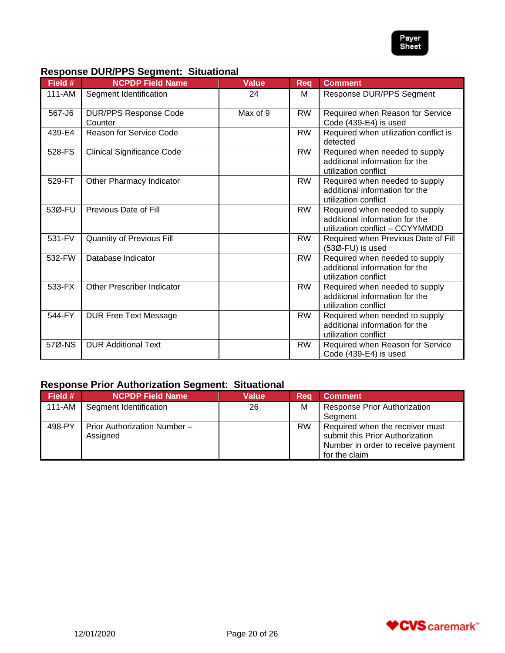

# **Response DUR/PPS Segment: Situational**

| Field # | <b>NCPDP Field Name</b>                 | <b>Value</b> | <b>Reg</b> | <b>Comment</b>                                                                                      |
|---------|-----------------------------------------|--------------|------------|-----------------------------------------------------------------------------------------------------|
| 111-AM  | Segment Identification                  | 24           | м          | Response DUR/PPS Segment                                                                            |
| 567-J6  | <b>DUR/PPS Response Code</b><br>Counter | Max of 9     | <b>RW</b>  | Required when Reason for Service<br>Code (439-E4) is used                                           |
| 439-E4  | Reason for Service Code                 |              | <b>RW</b>  | Required when utilization conflict is<br>detected                                                   |
| 528-FS  | <b>Clinical Significance Code</b>       |              | <b>RW</b>  | Required when needed to supply<br>additional information for the<br>utilization conflict            |
| 529-FT  | Other Pharmacy Indicator                |              | <b>RW</b>  | Required when needed to supply<br>additional information for the<br>utilization conflict            |
| 53Ø-FU  | Previous Date of Fill                   |              | <b>RW</b>  | Required when needed to supply<br>additional information for the<br>utilization conflict - CCYYMMDD |
| 531-FV  | <b>Quantity of Previous Fill</b>        |              | <b>RW</b>  | Required when Previous Date of Fill<br>$(53\emptyset$ -FU) is used                                  |
| 532-FW  | Database Indicator                      |              | <b>RW</b>  | Required when needed to supply<br>additional information for the<br>utilization conflict            |
| 533-FX  | <b>Other Prescriber Indicator</b>       |              | <b>RW</b>  | Required when needed to supply<br>additional information for the<br>utilization conflict            |
| 544-FY  | <b>DUR Free Text Message</b>            |              | <b>RW</b>  | Required when needed to supply<br>additional information for the<br>utilization conflict            |
| 57Ø-NS  | <b>DUR Additional Text</b>              |              | <b>RW</b>  | Required when Reason for Service<br>Code (439-E4) is used                                           |

# **Response Prior Authorization Segment: Situational**

| Field # | <b>NCPDP Field Name</b>                  | <b>Value</b> | Req       | <b>Comment</b>                                                                                                            |
|---------|------------------------------------------|--------------|-----------|---------------------------------------------------------------------------------------------------------------------------|
| 111-AM  | Segment Identification                   | 26           | м         | <b>Response Prior Authorization</b><br>Segment                                                                            |
| 498-PY  | Prior Authorization Number -<br>Assigned |              | <b>RW</b> | Required when the receiver must<br>submit this Prior Authorization<br>Number in order to receive payment<br>for the claim |

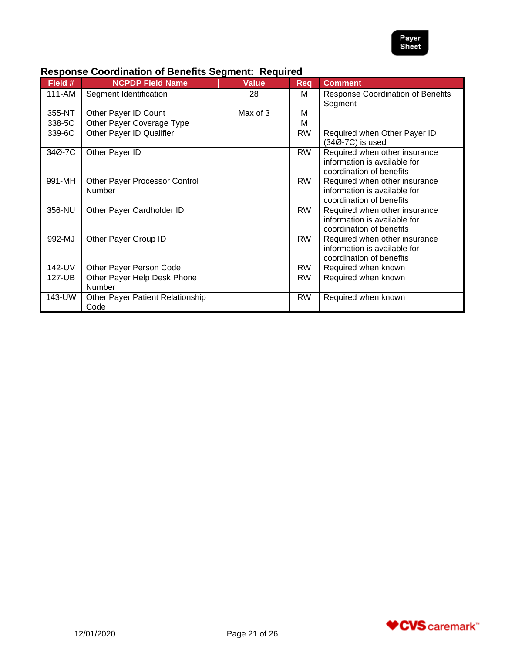

| Field # | <b>NCPDP Field Name</b>                        | <b>Value</b> | Req       | <b>Comment</b>                                                                            |
|---------|------------------------------------------------|--------------|-----------|-------------------------------------------------------------------------------------------|
| 111-AM  | Segment Identification                         | 28           | м         | <b>Response Coordination of Benefits</b><br>Segment                                       |
| 355-NT  | Other Payer ID Count                           | Max of 3     | м         |                                                                                           |
| 338-5C  | Other Payer Coverage Type                      |              | М         |                                                                                           |
| 339-6C  | Other Payer ID Qualifier                       |              | <b>RW</b> | Required when Other Payer ID<br>(34Ø-7C) is used                                          |
| 34Ø-7C  | Other Payer ID                                 |              | <b>RW</b> | Required when other insurance<br>information is available for<br>coordination of benefits |
| 991-MH  | Other Payer Processor Control<br><b>Number</b> |              | <b>RW</b> | Required when other insurance<br>information is available for<br>coordination of benefits |
| 356-NU  | Other Payer Cardholder ID                      |              | <b>RW</b> | Required when other insurance<br>information is available for<br>coordination of benefits |
| 992-MJ  | Other Payer Group ID                           |              | <b>RW</b> | Required when other insurance<br>information is available for<br>coordination of benefits |
| 142-UV  | Other Payer Person Code                        |              | <b>RW</b> | Required when known                                                                       |
| 127-UB  | Other Payer Help Desk Phone<br><b>Number</b>   |              | <b>RW</b> | Required when known                                                                       |
| 143-UW  | Other Payer Patient Relationship<br>Code       |              | <b>RW</b> | Required when known                                                                       |

# **Response Coordination of Benefits Segment: Required**

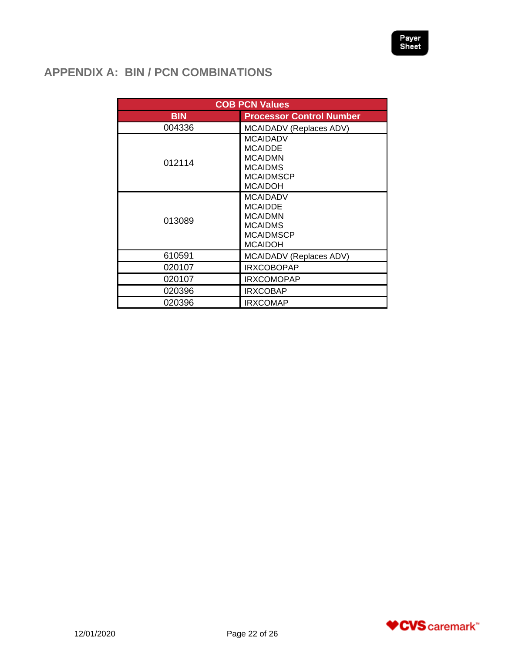# <span id="page-21-0"></span>**APPENDIX A: BIN / PCN COMBINATIONS**

|            | <b>COB PCN Values</b>                                                                                       |
|------------|-------------------------------------------------------------------------------------------------------------|
| <b>BIN</b> | <b>Processor Control Number</b>                                                                             |
| 004336     | MCAIDADV (Replaces ADV)                                                                                     |
| 012114     | <b>MCAIDADV</b><br><b>MCAIDDE</b><br><b>MCAIDMN</b><br><b>MCAIDMS</b><br><b>MCAIDMSCP</b><br><b>MCAIDOH</b> |
| 013089     | <b>MCAIDADV</b><br><b>MCAIDDE</b><br><b>MCAIDMN</b><br><b>MCAIDMS</b><br><b>MCAIDMSCP</b><br><b>MCAIDOH</b> |
| 610591     | MCAIDADV (Replaces ADV)                                                                                     |
| 020107     | <b>IRXCOBOPAP</b>                                                                                           |
| 020107     | <b>IRXCOMOPAP</b>                                                                                           |
| 020396     | <b>IRXCOBAP</b>                                                                                             |
| 020396     | <b>IRXCOMAP</b>                                                                                             |

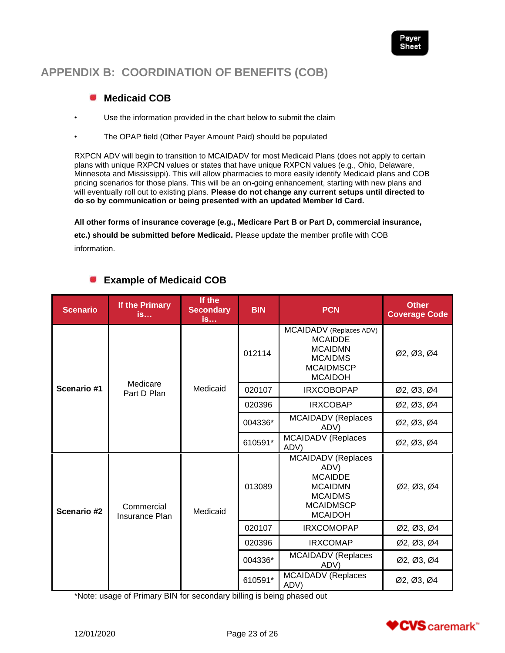# <span id="page-22-0"></span>**APPENDIX B: COORDINATION OF BENEFITS (COB)**

#### <span id="page-22-1"></span>**Medicaid COB COL**

- Use the information provided in the chart below to submit the claim
- The OPAP field (Other Payer Amount Paid) should be populated

RXPCN ADV will begin to transition to MCAIDADV for most Medicaid Plans (does not apply to certain plans with unique RXPCN values or states that have unique RXPCN values (e.g., Ohio, Delaware, Minnesota and Mississippi). This will allow pharmacies to more easily identify Medicaid plans and COB pricing scenarios for those plans. This will be an on-going enhancement, starting with new plans and will eventually roll out to existing plans. **Please do not change any current setups until directed to do so by communication or being presented with an updated Member Id Card.**

**All other forms of insurance coverage (e.g., Medicare Part B or Part D, commercial insurance, etc.) should be submitted before Medicaid.** Please update the member profile with COB information.

| <b>Scenario</b> | If the Primary<br><b>is</b>  | If the<br><b>Secondary</b><br>is | <b>BIN</b> | <b>PCN</b>                                                                                                                    | <b>Other</b><br><b>Coverage Code</b> |
|-----------------|------------------------------|----------------------------------|------------|-------------------------------------------------------------------------------------------------------------------------------|--------------------------------------|
|                 | Medicare<br>Part D Plan      | Medicaid                         | 012114     | MCAIDADV (Replaces ADV)<br><b>MCAIDDE</b><br><b>MCAIDMN</b><br><b>MCAIDMS</b><br><b>MCAIDMSCP</b><br><b>MCAIDOH</b>           | Ø2, Ø3, Ø4                           |
| Scenario #1     |                              |                                  | 020107     | <b>IRXCOBOPAP</b>                                                                                                             | Ø2, Ø3, Ø4                           |
|                 |                              |                                  | 020396     | <b>IRXCOBAP</b>                                                                                                               | Ø2, Ø3, Ø4                           |
|                 |                              |                                  | 004336*    | <b>MCAIDADV</b> (Replaces<br>ADV)                                                                                             | Ø2, Ø3, Ø4                           |
|                 |                              |                                  | 610591*    | MCAIDADV (Replaces<br>ADV)                                                                                                    | Ø2, Ø3, Ø4                           |
| Scenario #2     | Commercial<br>Insurance Plan | Medicaid                         | 013089     | <b>MCAIDADV</b> (Replaces<br>ADV)<br><b>MCAIDDE</b><br><b>MCAIDMN</b><br><b>MCAIDMS</b><br><b>MCAIDMSCP</b><br><b>MCAIDOH</b> | Ø2, Ø3, Ø4                           |
|                 |                              |                                  | 020107     | <b>IRXCOMOPAP</b>                                                                                                             | Ø2, Ø3, Ø4                           |
|                 |                              |                                  | 020396     | <b>IRXCOMAP</b>                                                                                                               | Ø2, Ø3, Ø4                           |
|                 |                              |                                  | 004336*    | <b>MCAIDADV</b> (Replaces<br>ADV)                                                                                             | Ø2, Ø3, Ø4                           |
|                 |                              |                                  | 610591*    | <b>MCAIDADV</b> (Replaces<br>ADV)                                                                                             | Ø2, Ø3, Ø4                           |

# <span id="page-22-2"></span>**Example of Medicaid COB**

\*Note: usage of Primary BIN for secondary billing is being phased out

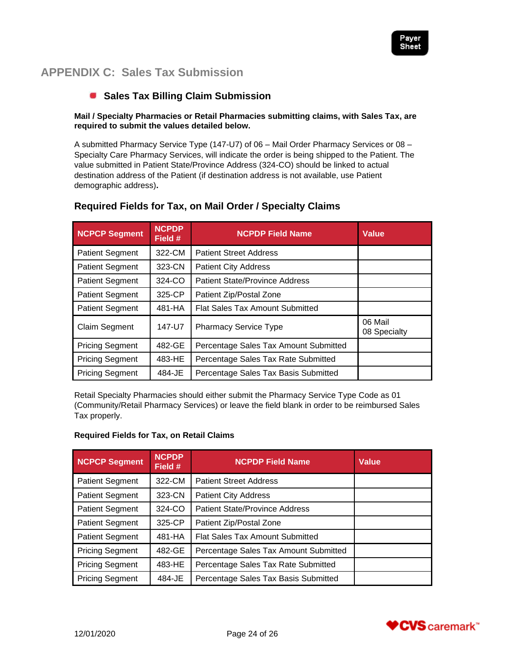

# <span id="page-23-0"></span>**APPENDIX C: Sales Tax Submission**

# <span id="page-23-1"></span>**Sales Tax Billing Claim Submission**

#### **Mail / Specialty Pharmacies or Retail Pharmacies submitting claims, with Sales Tax, are required to submit the values detailed below.**

A submitted Pharmacy Service Type (147-U7) of 06 – Mail Order Pharmacy Services or 08 – Specialty Care Pharmacy Services, will indicate the order is being shipped to the Patient. The value submitted in Patient State/Province Address (324-CO) should be linked to actual destination address of the Patient (if destination address is not available, use Patient demographic address)**.** 

| <b>NCPCP Segment</b>             | <b>NCPDP</b><br>Field # | <b>NCPDP Field Name</b>                | <b>Value</b>            |
|----------------------------------|-------------------------|----------------------------------------|-------------------------|
| 322-CM<br><b>Patient Segment</b> |                         | <b>Patient Street Address</b>          |                         |
| 323-CN<br><b>Patient Segment</b> |                         | <b>Patient City Address</b>            |                         |
| 324-CO<br><b>Patient Segment</b> |                         | <b>Patient State/Province Address</b>  |                         |
| 325-CP<br><b>Patient Segment</b> |                         | Patient Zip/Postal Zone                |                         |
| <b>Patient Segment</b>           | 481-HA                  | <b>Flat Sales Tax Amount Submitted</b> |                         |
| Claim Segment                    | 147-U7                  | <b>Pharmacy Service Type</b>           | 06 Mail<br>08 Specialty |
| 482-GE<br><b>Pricing Segment</b> |                         | Percentage Sales Tax Amount Submitted  |                         |
| <b>Pricing Segment</b><br>483-HE |                         | Percentage Sales Tax Rate Submitted    |                         |
| 484-JE<br><b>Pricing Segment</b> |                         | Percentage Sales Tax Basis Submitted   |                         |

## **Required Fields for Tax, on Mail Order / Specialty Claims**

Retail Specialty Pharmacies should either submit the Pharmacy Service Type Code as 01 (Community/Retail Pharmacy Services) or leave the field blank in order to be reimbursed Sales Tax properly.

#### **Required Fields for Tax, on Retail Claims**

| <b>NCPCP Segment</b>             | <b>NCPDP</b><br>Field # | <b>NCPDP Field Name</b>                | <b>Value</b> |
|----------------------------------|-------------------------|----------------------------------------|--------------|
| <b>Patient Segment</b>           | 322-CM                  | <b>Patient Street Address</b>          |              |
| <b>Patient Segment</b>           | 323-CN                  | <b>Patient City Address</b>            |              |
| <b>Patient Segment</b>           | 324-CO                  | <b>Patient State/Province Address</b>  |              |
| <b>Patient Segment</b>           | 325-CP                  | Patient Zip/Postal Zone                |              |
| 481-HA<br><b>Patient Segment</b> |                         | <b>Flat Sales Tax Amount Submitted</b> |              |
| <b>Pricing Segment</b>           | 482-GE                  | Percentage Sales Tax Amount Submitted  |              |
| <b>Pricing Segment</b>           | 483-HE                  | Percentage Sales Tax Rate Submitted    |              |
| <b>Pricing Segment</b>           | 484-JE                  | Percentage Sales Tax Basis Submitted   |              |

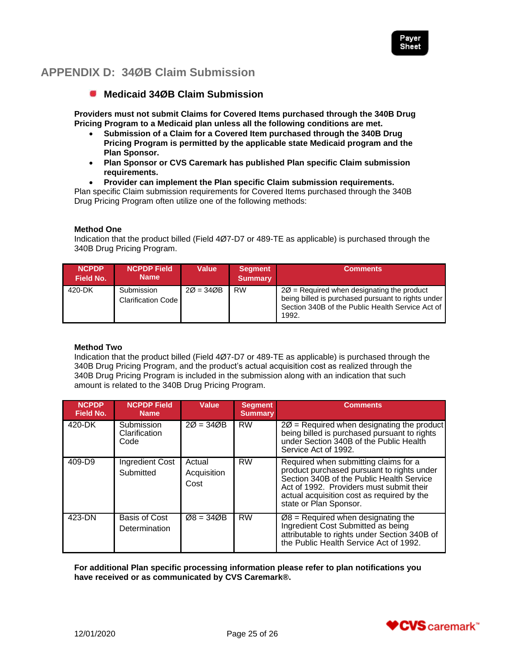

# <span id="page-24-0"></span>**APPENDIX D: 34ØB Claim Submission**

## <span id="page-24-1"></span>**Medicaid 34ØB Claim Submission**

**Providers must not submit Claims for Covered Items purchased through the 340B Drug Pricing Program to a Medicaid plan unless all the following conditions are met.**

- **Submission of a Claim for a Covered Item purchased through the 340B Drug Pricing Program is permitted by the applicable state Medicaid program and the Plan Sponsor.**
- **Plan Sponsor or CVS Caremark has published Plan specific Claim submission requirements.**
- **Provider can implement the Plan specific Claim submission requirements.**

Plan specific Claim submission requirements for Covered Items purchased through the 340B Drug Pricing Program often utilize one of the following methods:

#### **Method One**

Indication that the product billed (Field 4Ø7-D7 or 489-TE as applicable) is purchased through the 340B Drug Pricing Program.

| <b>NCPDP</b><br>Field No. | <b>NCPDP Field</b><br><b>Name</b>       | <b>Value</b> | <b>Segment</b><br><b>Summary</b> | <b>Comments</b>                                                                                                                                                           |
|---------------------------|-----------------------------------------|--------------|----------------------------------|---------------------------------------------------------------------------------------------------------------------------------------------------------------------------|
| 420-DK                    | Submission<br><b>Clarification Code</b> | $20 = 340B$  | <b>RW</b>                        | $2\varnothing$ = Required when designating the product<br>being billed is purchased pursuant to rights under<br>Section 340B of the Public Health Service Act of<br>1992. |

#### **Method Two**

Indication that the product billed (Field 4Ø7-D7 or 489-TE as applicable) is purchased through the 340B Drug Pricing Program, and the product's actual acquisition cost as realized through the 340B Drug Pricing Program is included in the submission along with an indication that such amount is related to the 340B Drug Pricing Program.

| <b>NCPDP</b><br><b>Field No.</b> | <b>NCPDP Field</b><br><b>Name</b>   | Value                         | <b>Segment</b><br><b>Summary</b> | <b>Comments</b>                                                                                                                                                                                                                                      |
|----------------------------------|-------------------------------------|-------------------------------|----------------------------------|------------------------------------------------------------------------------------------------------------------------------------------------------------------------------------------------------------------------------------------------------|
| 420-DK                           | Submission<br>Clarification<br>Code | $20 = 340B$                   | <b>RW</b>                        | $2\varnothing$ = Required when designating the product<br>being billed is purchased pursuant to rights<br>under Section 340B of the Public Health<br>Service Act of 1992.                                                                            |
| 409-D9                           | <b>Ingredient Cost</b><br>Submitted | Actual<br>Acquisition<br>Cost | <b>RW</b>                        | Required when submitting claims for a<br>product purchased pursuant to rights under<br>Section 340B of the Public Health Service<br>Act of 1992. Providers must submit their<br>actual acquisition cost as required by the<br>state or Plan Sponsor. |
| 423-DN                           | Basis of Cost<br>Determination      | $Ø8 = 34ØB$                   | <b>RW</b>                        | $Ø8$ = Required when designating the<br>Ingredient Cost Submitted as being<br>attributable to rights under Section 340B of<br>the Public Health Service Act of 1992.                                                                                 |

**For additional Plan specific processing information please refer to plan notifications you have received or as communicated by CVS Caremark®.**